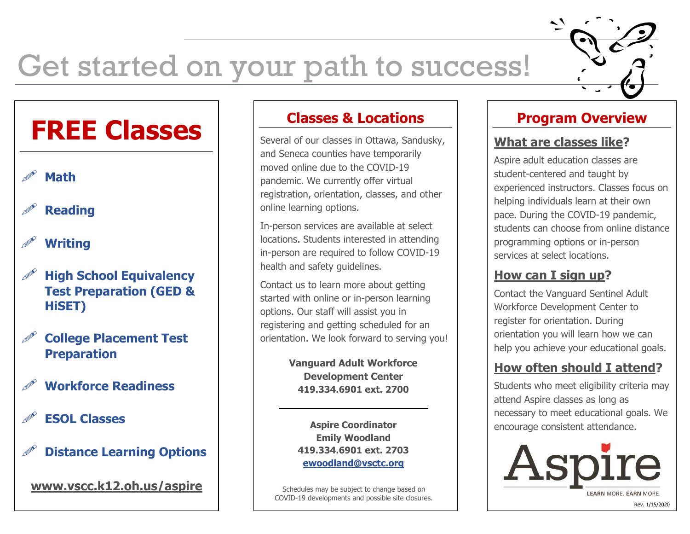# Get started on your path to success!

# **FREE Classes**

### **Math**

## **Reading**

# **Writing**

- **High School Equivalency Test Preparation (GED & HiSET)**
- **College Placement Test Preparation**
- **Workforce Readiness**
- **ESOL Classes**
- **Distance Learning Options**

**www.vscc.k12.oh.us/aspire**

#### **Classes & Locations**

Several of our classes in Ottawa, Sandusky, and Seneca counties have temporarily moved online due to the COVID-19 pandemic. We currently offer virtual registration, orientation, classes, and other online learning options.

In-person services are available at select locations. Students interested in attending in-person are required to follow COVID-19 health and safety guidelines.

Contact us to learn more about getting started with online or in-person learning options. Our staff will assist you in registering and getting scheduled for an orientation. We look forward to serving you!

> **Vanguard Adult Workforce Development Center 419.334.6901 ext. 2700**

**Aspire Coordinator Emily Woodland 419.334.6901 ext. 2703 [ewoodland@vsctc.org](mailto:ewoodland@vsctc.org)**

Schedules may be subject to change based on COVID-19 developments and possible site closures.

### **Program Overview**

#### **What are classes like?**

Aspire adult education classes are student-centered and taught by experienced instructors. Classes focus on helping individuals learn at their own pace. During the COVID-19 pandemic, students can choose from online distance programming options or in-person services at select locations.

#### **How can I sign up?**

Contact the Vanguard Sentinel Adult Workforce Development Center to register for orientation. During orientation you will learn how we can help you achieve your educational goals.

#### **How often should I attend?**

Students who meet eligibility criteria may attend Aspire classes as long as necessary to meet educational goals. We encourage consistent attendance.